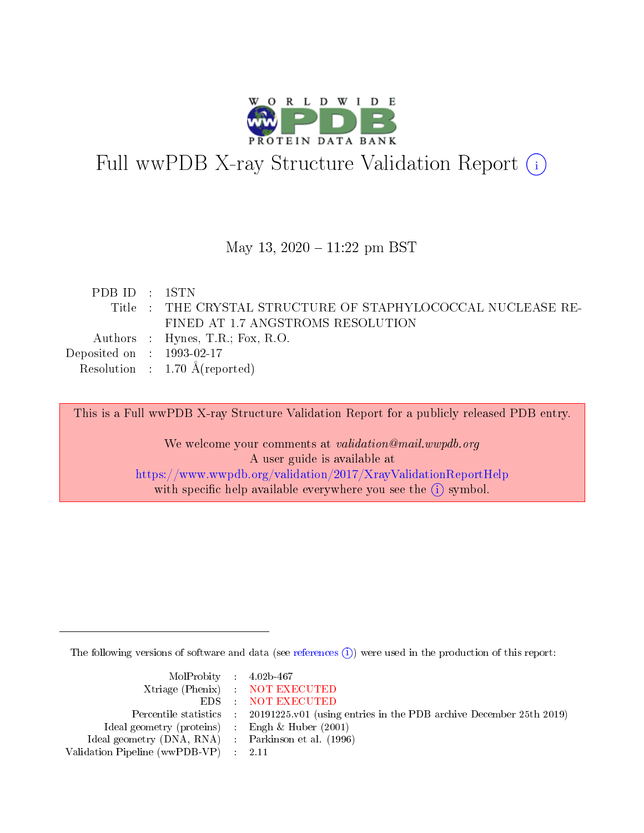

# Full wwPDB X-ray Structure Validation Report (i)

#### May 13,  $2020 - 11:22$  pm BST

|  | PDB ID : 1STN                                                |
|--|--------------------------------------------------------------|
|  | Title : THE CRYSTAL STRUCTURE OF STAPHYLOCOCCAL NUCLEASE RE- |
|  | FINED AT 1.7 ANGSTROMS RESOLUTION                            |
|  | Authors : Hynes, T.R.; Fox, R.O.                             |
|  | Deposited on $\therefore$ 1993-02-17                         |
|  | Resolution : $1.70 \text{ Å}$ (reported)                     |

This is a Full wwPDB X-ray Structure Validation Report for a publicly released PDB entry.

We welcome your comments at validation@mail.wwpdb.org A user guide is available at <https://www.wwpdb.org/validation/2017/XrayValidationReportHelp> with specific help available everywhere you see the  $(i)$  symbol.

The following versions of software and data (see [references](https://www.wwpdb.org/validation/2017/XrayValidationReportHelp#references)  $\overline{(1)}$ ) were used in the production of this report:

| $MolProbability$ 4.02b-467                          |                                                                    |
|-----------------------------------------------------|--------------------------------------------------------------------|
|                                                     | Xtriage (Phenix) NOT EXECUTED                                      |
|                                                     | EDS : NOT EXECUTED                                                 |
| Percentile statistics :                             | 20191225.v01 (using entries in the PDB archive December 25th 2019) |
| Ideal geometry (proteins) :                         | Engh $\&$ Huber (2001)                                             |
| Ideal geometry (DNA, RNA) : Parkinson et al. (1996) |                                                                    |
| Validation Pipeline (wwPDB-VP) : 2.11               |                                                                    |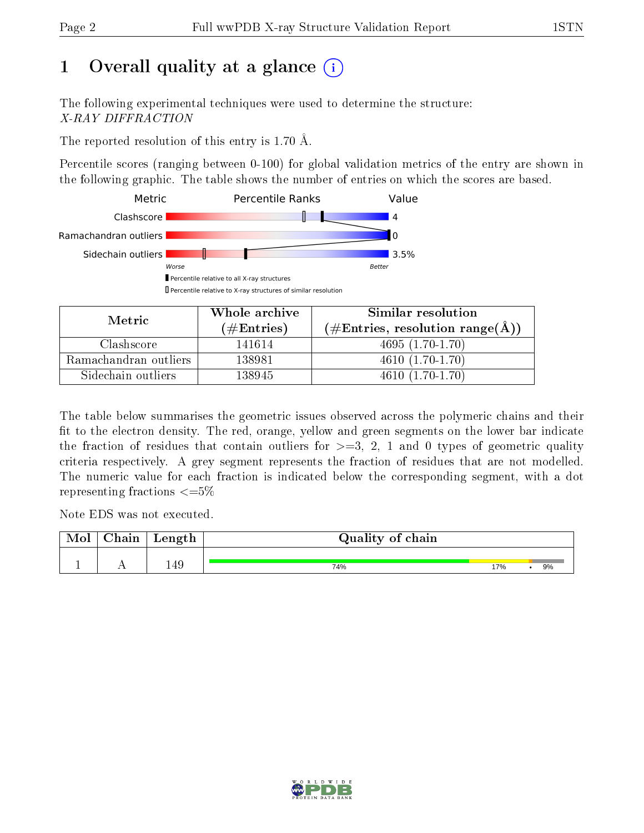# 1 [O](https://www.wwpdb.org/validation/2017/XrayValidationReportHelp#overall_quality)verall quality at a glance  $(i)$

The following experimental techniques were used to determine the structure: X-RAY DIFFRACTION

The reported resolution of this entry is 1.70 Å.

Percentile scores (ranging between 0-100) for global validation metrics of the entry are shown in the following graphic. The table shows the number of entries on which the scores are based.



| Metric.               | Whole archive        | Similar resolution                                                       |  |  |
|-----------------------|----------------------|--------------------------------------------------------------------------|--|--|
|                       | $(\#\text{Entries})$ | $(\#\text{Entries},\,\text{resolution}\,\,\text{range}(\textup{\AA})\,)$ |  |  |
| Clashscore            | 141614               | $4695(1.70-1.70)$                                                        |  |  |
| Ramachandran outliers | 138981               | $4610(1.70-1.70)$                                                        |  |  |
| Sidechain outliers    | 138945               | $4610(1.70-1.70)$                                                        |  |  |

The table below summarises the geometric issues observed across the polymeric chains and their fit to the electron density. The red, orange, yellow and green segments on the lower bar indicate the fraction of residues that contain outliers for  $\geq=3$ , 2, 1 and 0 types of geometric quality criteria respectively. A grey segment represents the fraction of residues that are not modelled. The numeric value for each fraction is indicated below the corresponding segment, with a dot representing fractions  $\leq=5\%$ 

Note EDS was not executed.

| Mol | ${\bf Chain}$ | Length | Quality of chain |     |    |
|-----|---------------|--------|------------------|-----|----|
|     |               |        |                  |     |    |
|     |               | 149    | 74%              | 17% | 9% |

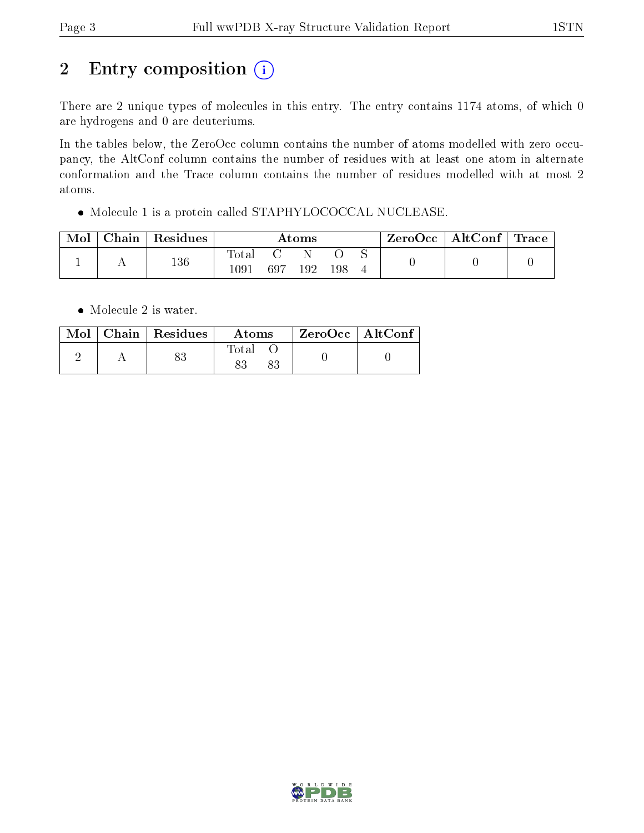# 2 Entry composition (i)

There are 2 unique types of molecules in this entry. The entry contains 1174 atoms, of which 0 are hydrogens and 0 are deuteriums.

In the tables below, the ZeroOcc column contains the number of atoms modelled with zero occupancy, the AltConf column contains the number of residues with at least one atom in alternate conformation and the Trace column contains the number of residues modelled with at most 2 atoms.

Molecule 1 is a protein called STAPHYLOCOCCAL NUCLEASE.

| Mol | ${\bf Chain \mid Residues}$ | Atoms                     |     |     |     | ZeroOcc | $\mid$ AltConf $\mid$ Trace |  |
|-----|-----------------------------|---------------------------|-----|-----|-----|---------|-----------------------------|--|
|     | 136                         | Tota <sub>1</sub><br>1091 | 697 | 192 | 198 |         |                             |  |

• Molecule 2 is water.

|  | $Mol$   Chain   Residues | Atoms | $\rm ZeroOcc$   Alt $\rm Conf$ |  |
|--|--------------------------|-------|--------------------------------|--|
|  |                          | Total |                                |  |

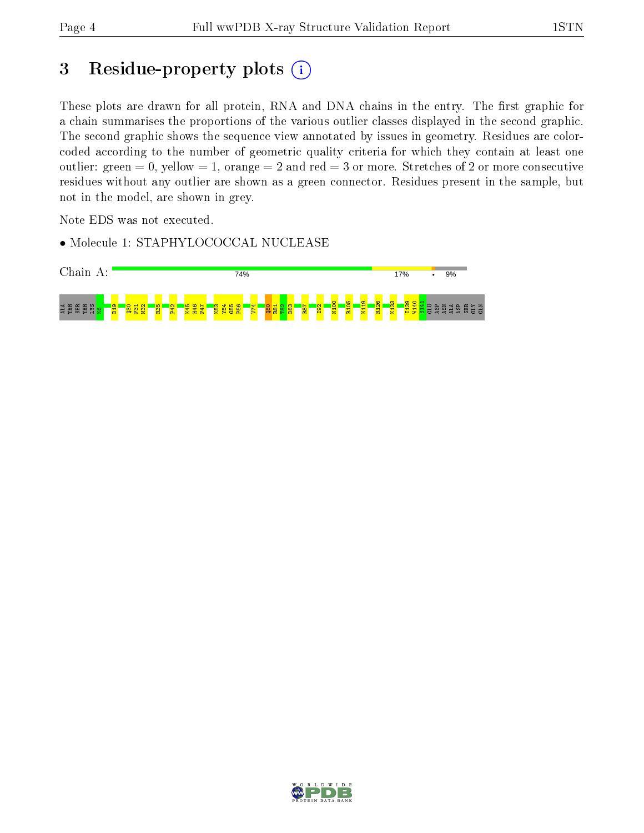## 3 Residue-property plots (i)

These plots are drawn for all protein, RNA and DNA chains in the entry. The first graphic for a chain summarises the proportions of the various outlier classes displayed in the second graphic. The second graphic shows the sequence view annotated by issues in geometry. Residues are colorcoded according to the number of geometric quality criteria for which they contain at least one outlier: green  $= 0$ , yellow  $= 1$ , orange  $= 2$  and red  $= 3$  or more. Stretches of 2 or more consecutive residues without any outlier are shown as a green connector. Residues present in the sample, but not in the model, are shown in grey.

Note EDS was not executed.

• Molecule 1: STAPHYLOCOCCAL NUCLEASE



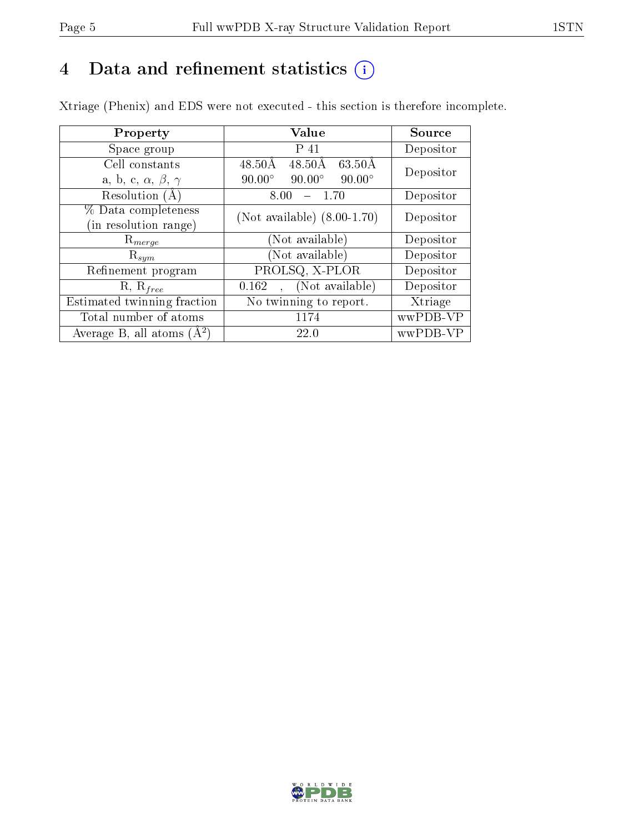## 4 Data and refinement statistics  $(i)$

Xtriage (Phenix) and EDS were not executed - this section is therefore incomplete.

| Property                               | Value                                                       | Source    |  |
|----------------------------------------|-------------------------------------------------------------|-----------|--|
| Space group                            | P 41                                                        | Depositor |  |
| Cell constants                         | $63.50\text{\AA}$<br>$48.50\text{\AA}$<br>$48.50\text{\AA}$ | Depositor |  |
| a, b, c, $\alpha$ , $\beta$ , $\gamma$ | $90.00^\circ$<br>$90.00^\circ$<br>$90.00^\circ$             |           |  |
| Resolution (A)                         | 8.00<br>- 1.70                                              | Depositor |  |
| % Data completeness                    | (Not available) $(8.00-1.70)$                               | Depositor |  |
| (in resolution range)                  |                                                             |           |  |
| $R_{merge}$                            | (Not available)                                             | Depositor |  |
| $\mathrm{R}_{sym}$                     | (Not available)                                             | Depositor |  |
| Refinement program                     | PROLSQ, X-PLOR                                              | Depositor |  |
| $R, R_{free}$                          | (Not available)<br>0.162                                    | Depositor |  |
| Estimated twinning fraction            | No twinning to report.                                      | Xtriage   |  |
| Total number of atoms                  | 1174                                                        | wwPDB-VP  |  |
| Average B, all atoms $(A^2)$           | 22.0                                                        | wwPDB-VP  |  |

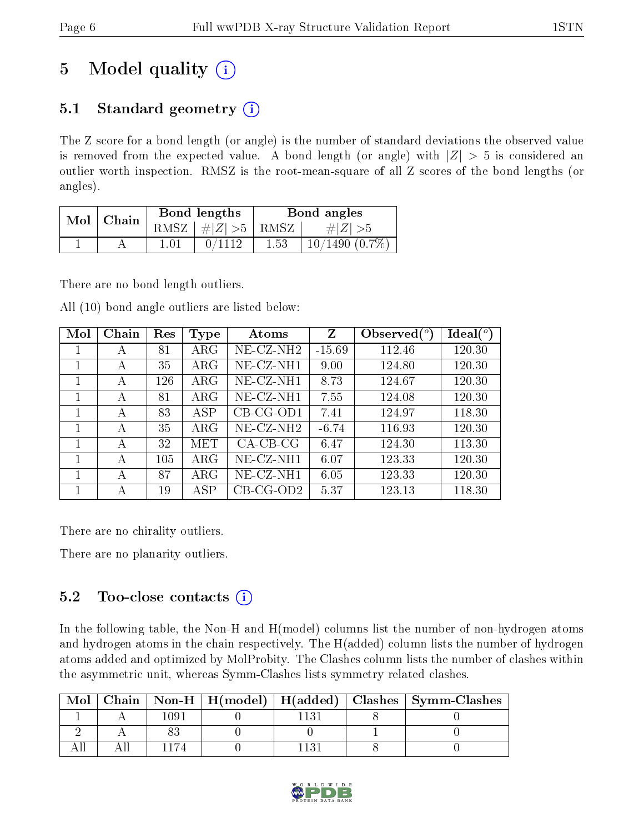# 5 Model quality  $(i)$

## 5.1 Standard geometry  $(i)$

The Z score for a bond length (or angle) is the number of standard deviations the observed value is removed from the expected value. A bond length (or angle) with  $|Z| > 5$  is considered an outlier worth inspection. RMSZ is the root-mean-square of all Z scores of the bond lengths (or angles).

| Mol | Chain |      | Bond lengths  | Bond angles |                     |  |
|-----|-------|------|---------------|-------------|---------------------|--|
|     |       | RMSZ | $\#Z >5$ RMSZ |             | # Z  > 5            |  |
|     |       |      |               | 1.53        | $10/1490$ $(0.7\%)$ |  |

There are no bond length outliers.

All (10) bond angle outliers are listed below:

| Mol | Chain | Res | <b>Type</b> | Atoms           |          | Observed $(°)$ | Ideal(°) |
|-----|-------|-----|-------------|-----------------|----------|----------------|----------|
|     | А     | 81  | $\rm{ARG}$  | $NE$ -CZ-NH $2$ | $-15.69$ | 112.46         | 120.30   |
| 1   | А     | 35  | $\rm{ARG}$  | NE-CZ-NH1       | 9.00     | 124.80         | 120.30   |
| 1   | А     | 126 | $\rm{ARG}$  | NE-CZ-NH1       | 8.73     | 124.67         | 120.30   |
|     | А     | 81  | $\rm{ARG}$  | NE-CZ-NH1       | 7.55     | 124.08         | 120.30   |
|     | А     | 83  | ASP         | $CB-CG-OD1$     | 7.41     | 124.97         | 118.30   |
| 1   | А     | 35  | $\rm{ARG}$  | $NE- CZ-NH2$    | $-6.74$  | 116.93         | 120.30   |
|     | А     | 32  | MET         | $CA-CB-CG$      | 6.47     | 124.30         | 113.30   |
|     | А     | 105 | $\rm{ARG}$  | NE-CZ-NH1       | 6.07     | 123.33         | 120.30   |
|     | А     | 87  | $\rm{ARG}$  | NE-CZ-NH1       | 6.05     | 123.33         | 120.30   |
|     | А     | 19  | ASP         | $CB-CG-OD2$     | 5.37     | 123.13         | 118.30   |

There are no chirality outliers.

There are no planarity outliers.

### 5.2 Too-close contacts  $\overline{()}$

In the following table, the Non-H and H(model) columns list the number of non-hydrogen atoms and hydrogen atoms in the chain respectively. The H(added) column lists the number of hydrogen atoms added and optimized by MolProbity. The Clashes column lists the number of clashes within the asymmetric unit, whereas Symm-Clashes lists symmetry related clashes.

| $\bf{Mol}$ |      |  | Chain   Non-H   H(model)   H(added)   Clashes   Symm-Clashes |
|------------|------|--|--------------------------------------------------------------|
|            | - 00 |  |                                                              |
|            |      |  |                                                              |
|            |      |  |                                                              |

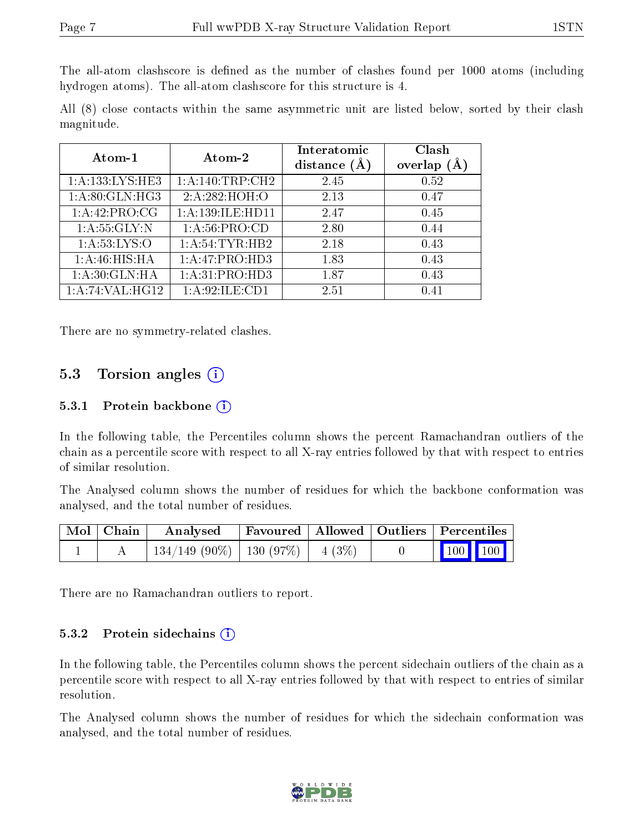The all-atom clashscore is defined as the number of clashes found per 1000 atoms (including hydrogen atoms). The all-atom clashscore for this structure is 4.

All (8) close contacts within the same asymmetric unit are listed below, sorted by their clash magnitude.

| Atom-1            | Atom-2                     | Interatomic<br>distance $(A)$ | Clash<br>overlap |  |
|-------------------|----------------------------|-------------------------------|------------------|--|
| 1:A:133:LYS:HE3   | 1:A:140:TRP:CH2            | 2.45                          | 0.52             |  |
| 1: A:80: GLN: HG3 | 2:A:282:HOH:O              | 2.13                          | 0.47             |  |
| 1: A:42: PRO:CG   | 1:A:139:ILE:HD11           | 2.47                          | 0.45             |  |
| 1: A: 55: GLY:N   | 1: A:56: PRO:CD            | 2.80                          | 0.44             |  |
| 1: A:53: LYS:O    | 1: A:54:TYR:HB2            | 2.18                          | 0.43             |  |
| 1: A:46: HIS: HA  | 1:A:47:PRO:H <sub>D3</sub> | 1.83                          | 0.43             |  |
| 1: A:30: GLN: HA  | 1: A:31: PRO:HD3           | 1.87                          | 0.43             |  |
| 1:A:74:VAL:HG12   | 1:A:92:ILE:CD1             | 2.51                          | 0.41             |  |

There are no symmetry-related clashes.

#### 5.3 Torsion angles (i)

#### 5.3.1 Protein backbone (i)

In the following table, the Percentiles column shows the percent Ramachandran outliers of the chain as a percentile score with respect to all X-ray entries followed by that with respect to entries of similar resolution.

The Analysed column shows the number of residues for which the backbone conformation was analysed, and the total number of residues.

| Mol   Chain | Analysed                                |  | Favoured   Allowed   Outliers   Percentiles |  |
|-------------|-----------------------------------------|--|---------------------------------------------|--|
|             | $134/149$ (90\%)   130 (97\%)   4 (3\%) |  | $\boxed{100}$ 100                           |  |

There are no Ramachandran outliers to report.

#### 5.3.2 Protein sidechains  $(i)$

In the following table, the Percentiles column shows the percent sidechain outliers of the chain as a percentile score with respect to all X-ray entries followed by that with respect to entries of similar resolution.

The Analysed column shows the number of residues for which the sidechain conformation was analysed, and the total number of residues.

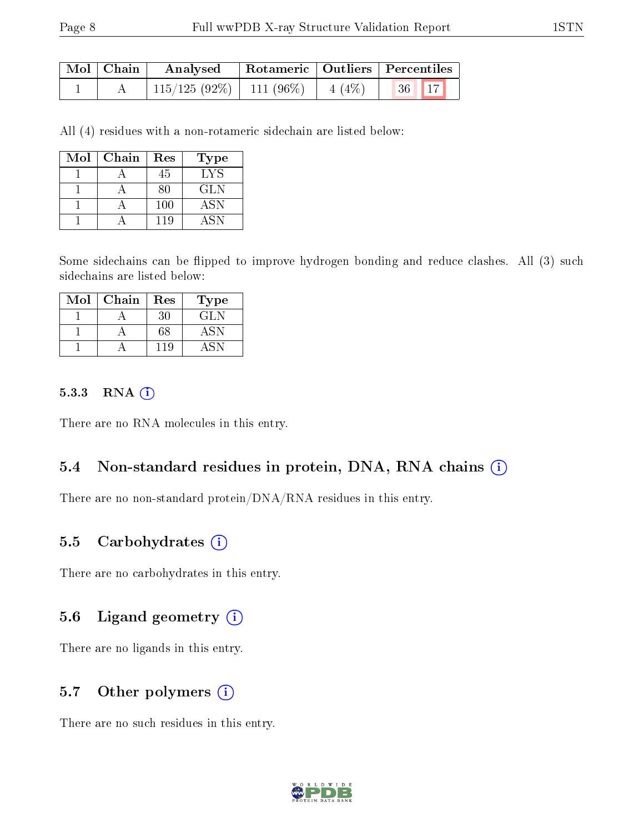| Mol   Chain | Analysed                   | Rotameric   Outliers   Percentiles |          |       |  |
|-------------|----------------------------|------------------------------------|----------|-------|--|
|             | $115/125(92\%)$ 111 (96\%) |                                    | $4(4\%)$ | 36 17 |  |

All (4) residues with a non-rotameric sidechain are listed below:

| Mol | Chain | Res | Type       |
|-----|-------|-----|------------|
|     |       | 45  | LYS        |
|     |       | 80  | <b>GLN</b> |
|     |       | 100 | <b>ASN</b> |
|     |       | 119 | A SN       |

Some sidechains can be flipped to improve hydrogen bonding and reduce clashes. All (3) such sidechains are listed below:

| Mol | Chain | Res | Type |
|-----|-------|-----|------|
|     |       | 30  | GLN  |
|     |       | 68  | ASN  |
|     |       | 119 |      |

#### 5.3.3 RNA [O](https://www.wwpdb.org/validation/2017/XrayValidationReportHelp#rna)i

There are no RNA molecules in this entry.

#### 5.4 Non-standard residues in protein, DNA, RNA chains (i)

There are no non-standard protein/DNA/RNA residues in this entry.

#### 5.5 Carbohydrates  $(i)$

There are no carbohydrates in this entry.

#### 5.6 Ligand geometry (i)

There are no ligands in this entry.

### 5.7 [O](https://www.wwpdb.org/validation/2017/XrayValidationReportHelp#nonstandard_residues_and_ligands)ther polymers  $(i)$

There are no such residues in this entry.

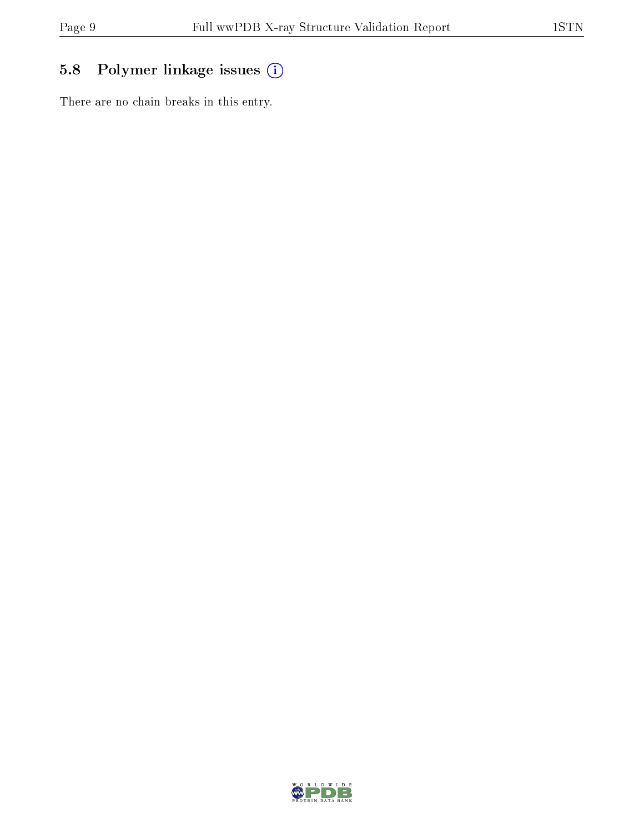## 5.8 Polymer linkage issues (i)

There are no chain breaks in this entry.